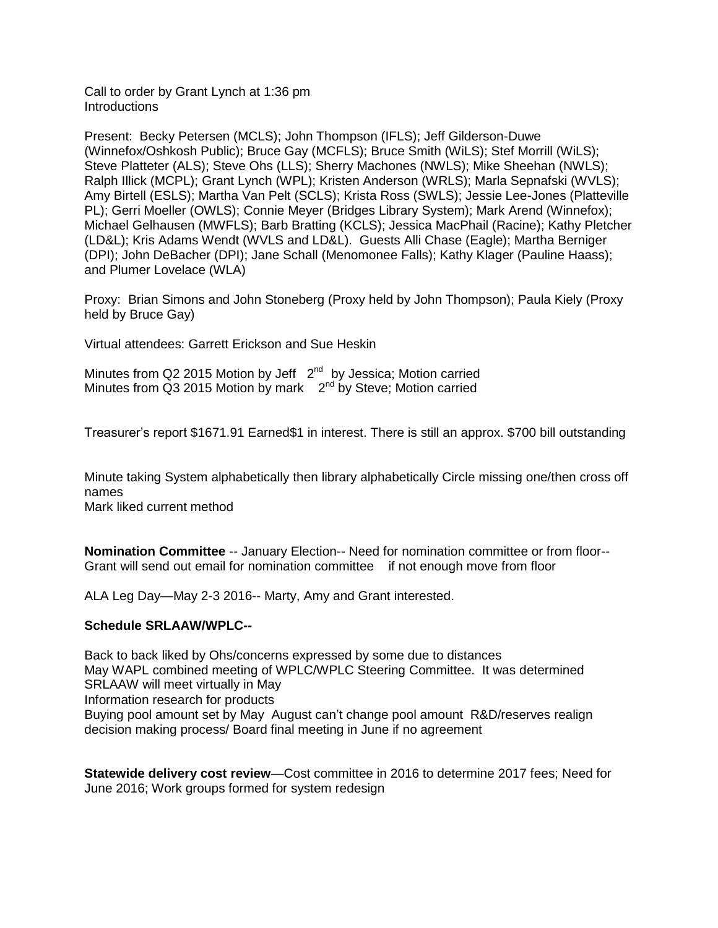Call to order by Grant Lynch at 1:36 pm **Introductions** 

Present: Becky Petersen (MCLS); John Thompson (IFLS); Jeff Gilderson-Duwe (Winnefox/Oshkosh Public); Bruce Gay (MCFLS); Bruce Smith (WiLS); Stef Morrill (WiLS); Steve Platteter (ALS); Steve Ohs (LLS); Sherry Machones (NWLS); Mike Sheehan (NWLS); Ralph Illick (MCPL); Grant Lynch (WPL); Kristen Anderson (WRLS); Marla Sepnafski (WVLS); Amy Birtell (ESLS); Martha Van Pelt (SCLS); Krista Ross (SWLS); Jessie Lee-Jones (Platteville PL); Gerri Moeller (OWLS); Connie Meyer (Bridges Library System); Mark Arend (Winnefox); Michael Gelhausen (MWFLS); Barb Bratting (KCLS); Jessica MacPhail (Racine); Kathy Pletcher (LD&L); Kris Adams Wendt (WVLS and LD&L). Guests Alli Chase (Eagle); Martha Berniger (DPI); John DeBacher (DPI); Jane Schall (Menomonee Falls); Kathy Klager (Pauline Haass); and Plumer Lovelace (WLA)

Proxy: Brian Simons and John Stoneberg (Proxy held by John Thompson); Paula Kiely (Proxy held by Bruce Gay)

Virtual attendees: Garrett Erickson and Sue Heskin

Minutes from Q2 2015 Motion by Jeff 2<sup>nd</sup> by Jessica; Motion carried Minutes from Q3 2015 Motion by mark 2<sup>nd</sup> by Steve; Motion carried

Treasurer's report \$1671.91 Earned\$1 in interest. There is still an approx. \$700 bill outstanding

Minute taking System alphabetically then library alphabetically Circle missing one/then cross off names

Mark liked current method

**Nomination Committee** -- January Election-- Need for nomination committee or from floor-- Grant will send out email for nomination committee if not enough move from floor

ALA Leg Day—May 2-3 2016-- Marty, Amy and Grant interested.

## **Schedule SRLAAW/WPLC--**

Back to back liked by Ohs/concerns expressed by some due to distances May WAPL combined meeting of WPLC/WPLC Steering Committee. It was determined SRLAAW will meet virtually in May Information research for products Buying pool amount set by May August can't change pool amount R&D/reserves realign decision making process/ Board final meeting in June if no agreement

**Statewide delivery cost review**—Cost committee in 2016 to determine 2017 fees; Need for June 2016; Work groups formed for system redesign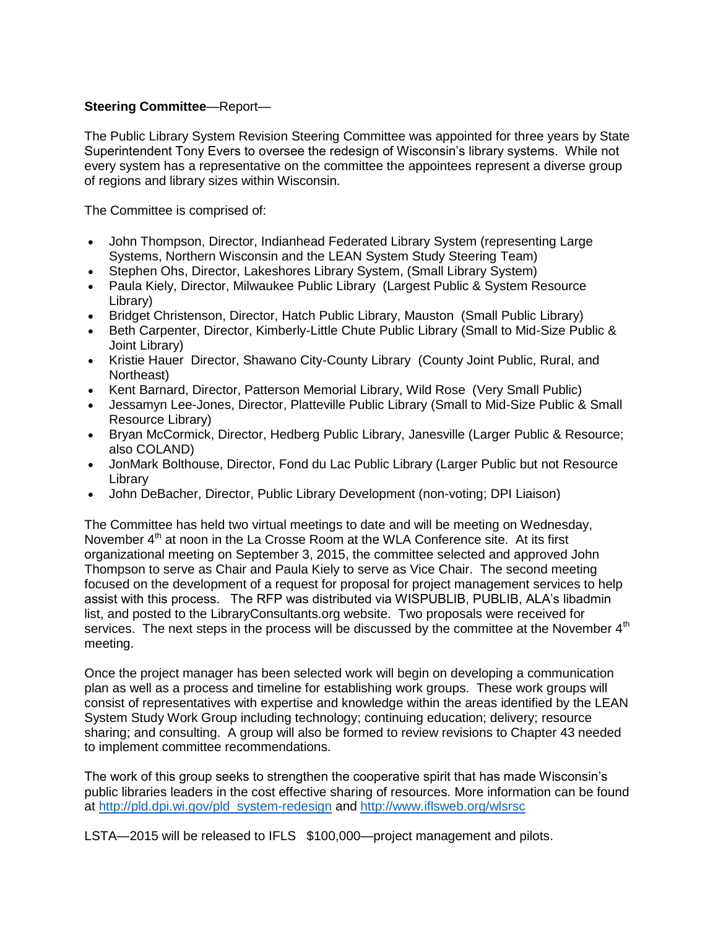# **Steering Committee**—Report—

The Public Library System Revision Steering Committee was appointed for three years by State Superintendent Tony Evers to oversee the redesign of Wisconsin's library systems. While not every system has a representative on the committee the appointees represent a diverse group of regions and library sizes within Wisconsin.

The Committee is comprised of:

- John Thompson, Director, Indianhead Federated Library System (representing Large Systems, Northern Wisconsin and the LEAN System Study Steering Team)
- Stephen Ohs, Director, Lakeshores Library System, (Small Library System)
- Paula Kiely, Director, Milwaukee Public Library (Largest Public & System Resource Library)
- Bridget Christenson, Director, Hatch Public Library, Mauston (Small Public Library)
- Beth Carpenter, Director, Kimberly-Little Chute Public Library (Small to Mid-Size Public & Joint Library)
- Kristie Hauer Director, Shawano City-County Library (County Joint Public, Rural, and Northeast)
- Kent Barnard, Director, Patterson Memorial Library, Wild Rose (Very Small Public)
- Jessamyn Lee-Jones, Director, Platteville Public Library (Small to Mid-Size Public & Small Resource Library)
- Bryan McCormick, Director, Hedberg Public Library, Janesville (Larger Public & Resource; also COLAND)
- JonMark Bolthouse, Director, Fond du Lac Public Library (Larger Public but not Resource Library
- John DeBacher, Director, Public Library Development (non-voting; DPI Liaison)

The Committee has held two virtual meetings to date and will be meeting on Wednesday, November  $4<sup>th</sup>$  at noon in the La Crosse Room at the WLA Conference site. At its first organizational meeting on September 3, 2015, the committee selected and approved John Thompson to serve as Chair and Paula Kiely to serve as Vice Chair. The second meeting focused on the development of a request for proposal for project management services to help assist with this process. The RFP was distributed via WISPUBLIB, PUBLIB, ALA's libadmin list, and posted to the LibraryConsultants.org website. Two proposals were received for services. The next steps in the process will be discussed by the committee at the November 4<sup>th</sup> meeting.

Once the project manager has been selected work will begin on developing a communication plan as well as a process and timeline for establishing work groups. These work groups will consist of representatives with expertise and knowledge within the areas identified by the LEAN System Study Work Group including technology; continuing education; delivery; resource sharing; and consulting. A group will also be formed to review revisions to Chapter 43 needed to implement committee recommendations.

The work of this group seeks to strengthen the cooperative spirit that has made Wisconsin's public libraries leaders in the cost effective sharing of resources. More information can be found at [http://pld.dpi.wi.gov/pld\\_system-redesign](http://pld.dpi.wi.gov/pld_system-redesign) and<http://www.iflsweb.org/wlsrsc>

LSTA—2015 will be released to IFLS \$100,000—project management and pilots.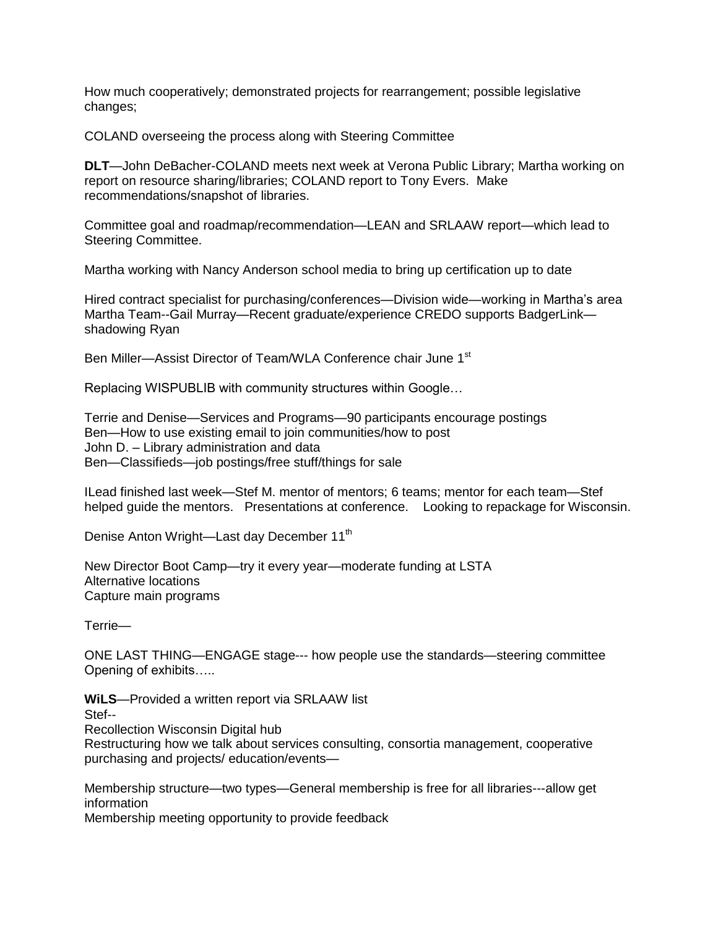How much cooperatively; demonstrated projects for rearrangement; possible legislative changes;

COLAND overseeing the process along with Steering Committee

**DLT**—John DeBacher-COLAND meets next week at Verona Public Library; Martha working on report on resource sharing/libraries; COLAND report to Tony Evers. Make recommendations/snapshot of libraries.

Committee goal and roadmap/recommendation—LEAN and SRLAAW report—which lead to Steering Committee.

Martha working with Nancy Anderson school media to bring up certification up to date

Hired contract specialist for purchasing/conferences—Division wide—working in Martha's area Martha Team--Gail Murray—Recent graduate/experience CREDO supports BadgerLink shadowing Ryan

Ben Miller-Assist Director of Team/WLA Conference chair June 1<sup>st</sup>

Replacing WISPUBLIB with community structures within Google…

Terrie and Denise—Services and Programs—90 participants encourage postings Ben—How to use existing email to join communities/how to post John D. – Library administration and data Ben—Classifieds—job postings/free stuff/things for sale

ILead finished last week—Stef M. mentor of mentors; 6 teams; mentor for each team—Stef helped guide the mentors. Presentations at conference. Looking to repackage for Wisconsin.

Denise Anton Wright—Last day December 11<sup>th</sup>

New Director Boot Camp—try it every year—moderate funding at LSTA Alternative locations Capture main programs

Terrie—

ONE LAST THING—ENGAGE stage--- how people use the standards—steering committee Opening of exhibits…..

**WiLS**—Provided a written report via SRLAAW list Stef-- Recollection Wisconsin Digital hub Restructuring how we talk about services consulting, consortia management, cooperative

purchasing and projects/ education/events—

Membership structure—two types—General membership is free for all libraries---allow get information

Membership meeting opportunity to provide feedback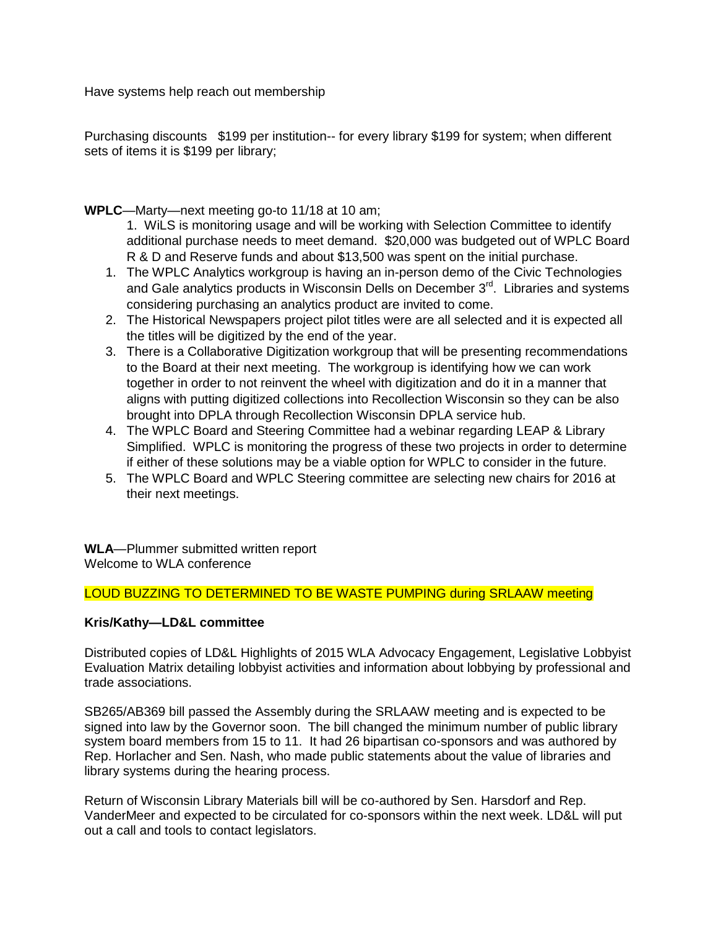Have systems help reach out membership

Purchasing discounts \$199 per institution-- for every library \$199 for system; when different sets of items it is \$199 per library;

**WPLC**—Marty—next meeting go-to 11/18 at 10 am;

- 1. WiLS is monitoring usage and will be working with Selection Committee to identify additional purchase needs to meet demand. \$20,000 was budgeted out of WPLC Board R & D and Reserve funds and about \$13,500 was spent on the initial purchase.
- 1. The WPLC Analytics workgroup is having an in-person demo of the Civic Technologies and Gale analytics products in Wisconsin Dells on December 3<sup>rd</sup>. Libraries and systems considering purchasing an analytics product are invited to come.
- 2. The Historical Newspapers project pilot titles were are all selected and it is expected all the titles will be digitized by the end of the year.
- 3. There is a Collaborative Digitization workgroup that will be presenting recommendations to the Board at their next meeting. The workgroup is identifying how we can work together in order to not reinvent the wheel with digitization and do it in a manner that aligns with putting digitized collections into Recollection Wisconsin so they can be also brought into DPLA through Recollection Wisconsin DPLA service hub.
- 4. The WPLC Board and Steering Committee had a webinar regarding LEAP & Library Simplified. WPLC is monitoring the progress of these two projects in order to determine if either of these solutions may be a viable option for WPLC to consider in the future.
- 5. The WPLC Board and WPLC Steering committee are selecting new chairs for 2016 at their next meetings.

**WLA**—Plummer submitted written report Welcome to WLA conference

LOUD BUZZING TO DETERMINED TO BE WASTE PUMPING during SRLAAW meeting

## **Kris/Kathy—LD&L committee**

Distributed copies of LD&L Highlights of 2015 WLA Advocacy Engagement, Legislative Lobbyist Evaluation Matrix detailing lobbyist activities and information about lobbying by professional and trade associations.

SB265/AB369 bill passed the Assembly during the SRLAAW meeting and is expected to be signed into law by the Governor soon. The bill changed the minimum number of public library system board members from 15 to 11. It had 26 bipartisan co-sponsors and was authored by Rep. Horlacher and Sen. Nash, who made public statements about the value of libraries and library systems during the hearing process.

Return of Wisconsin Library Materials bill will be co-authored by Sen. Harsdorf and Rep. VanderMeer and expected to be circulated for co-sponsors within the next week. LD&L will put out a call and tools to contact legislators.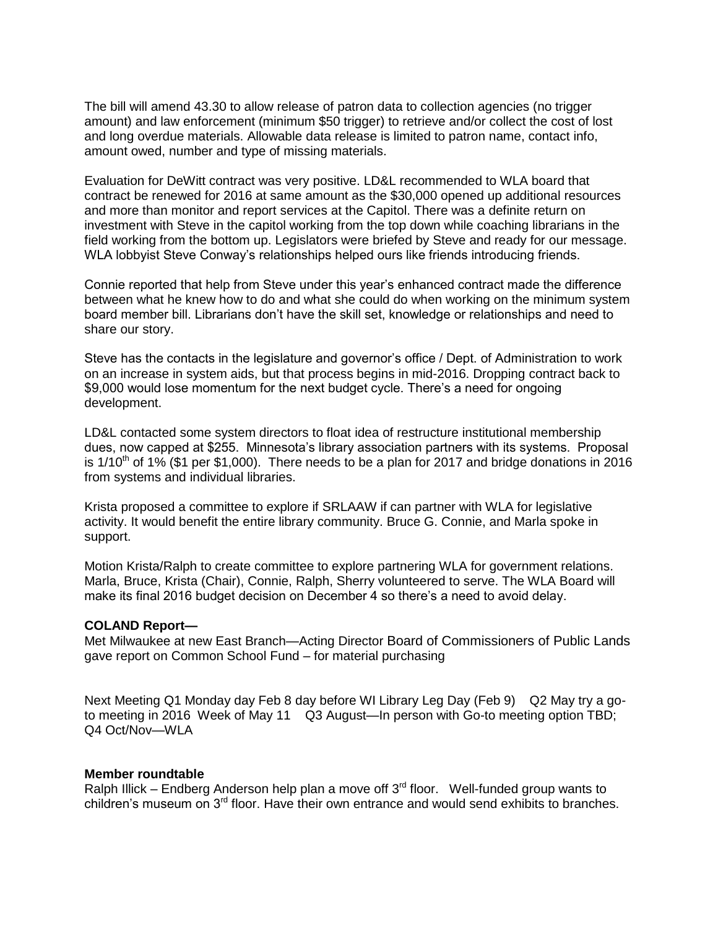The bill will amend 43.30 to allow release of patron data to collection agencies (no trigger amount) and law enforcement (minimum \$50 trigger) to retrieve and/or collect the cost of lost and long overdue materials. Allowable data release is limited to patron name, contact info, amount owed, number and type of missing materials.

Evaluation for DeWitt contract was very positive. LD&L recommended to WLA board that contract be renewed for 2016 at same amount as the \$30,000 opened up additional resources and more than monitor and report services at the Capitol. There was a definite return on investment with Steve in the capitol working from the top down while coaching librarians in the field working from the bottom up. Legislators were briefed by Steve and ready for our message. WLA lobbyist Steve Conway's relationships helped ours like friends introducing friends.

Connie reported that help from Steve under this year's enhanced contract made the difference between what he knew how to do and what she could do when working on the minimum system board member bill. Librarians don't have the skill set, knowledge or relationships and need to share our story.

Steve has the contacts in the legislature and governor's office / Dept. of Administration to work on an increase in system aids, but that process begins in mid-2016. Dropping contract back to \$9,000 would lose momentum for the next budget cycle. There's a need for ongoing development.

LD&L contacted some system directors to float idea of restructure institutional membership dues, now capped at \$255. Minnesota's library association partners with its systems. Proposal is  $1/10<sup>th</sup>$  of 1% (\$1 per \$1,000). There needs to be a plan for 2017 and bridge donations in 2016 from systems and individual libraries.

Krista proposed a committee to explore if SRLAAW if can partner with WLA for legislative activity. It would benefit the entire library community. Bruce G. Connie, and Marla spoke in support.

Motion Krista/Ralph to create committee to explore partnering WLA for government relations. Marla, Bruce, Krista (Chair), Connie, Ralph, Sherry volunteered to serve. The WLA Board will make its final 2016 budget decision on December 4 so there's a need to avoid delay.

## **COLAND Report—**

Met Milwaukee at new East Branch—Acting Director Board of Commissioners of Public Lands gave report on Common School Fund – for material purchasing

Next Meeting Q1 Monday day Feb 8 day before WI Library Leg Day (Feb 9) Q2 May try a goto meeting in 2016 Week of May 11 Q3 August—In person with Go-to meeting option TBD; Q4 Oct/Nov—WLA

#### **Member roundtable**

Ralph Illick – Endberg Anderson help plan a move off  $3<sup>rd</sup>$  floor. Well-funded group wants to children's museum on 3<sup>rd</sup> floor. Have their own entrance and would send exhibits to branches.